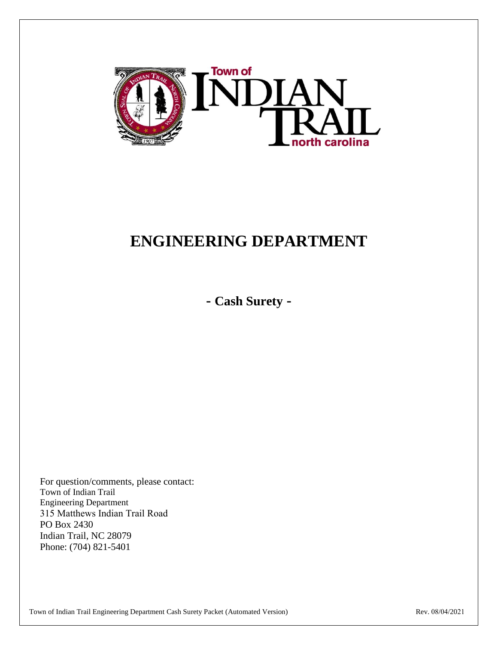

# **ENGINEERING DEPARTMENT**

**- Cash Surety -**

For question/comments, please contact: Town of Indian Trail Engineering Department 315 Matthews Indian Trail Road PO Box 2430 Indian Trail, NC 28079 Phone: (704) 821-5401

Town of Indian Trail Engineering Department Cash Surety Packet (Automated Version) Rev. 08/04/2021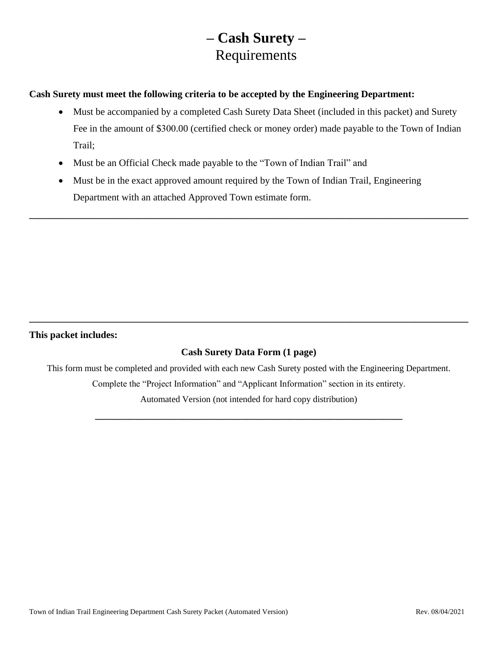## **– Cash Surety –** Requirements

**Cash Surety must meet the following criteria to be accepted by the Engineering Department:**

- Must be accompanied by a completed Cash Surety Data Sheet (included in this packet) and Surety Fee in the amount of \$300.00 (certified check or money order) made payable to the Town of Indian Trail;
- Must be an Official Check made payable to the "Town of Indian Trail" and
- Must be in the exact approved amount required by the Town of Indian Trail, Engineering Department with an attached Approved Town estimate form.

**\_\_\_\_\_\_\_\_\_\_\_\_\_\_\_\_\_\_\_\_\_\_\_\_\_\_\_\_\_\_\_\_\_\_\_\_\_\_\_\_\_\_\_\_\_\_\_\_\_\_\_\_\_\_\_\_\_\_\_\_\_\_\_\_\_\_\_\_\_\_\_\_\_\_\_\_\_\_\_\_\_\_\_\_\_\_\_\_\_\_** 

#### **This packet includes:**

### **Cash Surety Data Form (1 page)**

**\_\_\_\_\_\_\_\_\_\_\_\_\_\_\_\_\_\_\_\_\_\_\_\_\_\_\_\_\_\_\_\_\_\_\_\_\_\_\_\_\_\_\_\_\_\_\_\_\_\_\_\_\_\_\_\_\_\_\_\_\_\_\_\_\_\_\_\_\_\_\_\_\_\_\_\_\_\_\_\_\_\_\_\_\_\_\_\_\_\_**

This form must be completed and provided with each new Cash Surety posted with the Engineering Department. Complete the "Project Information" and "Applicant Information" section in its entirety.

Automated Version (not intended for hard copy distribution) **\_\_\_\_\_\_\_\_\_\_\_\_\_\_\_\_\_\_\_\_\_\_\_\_\_\_\_\_\_\_\_\_\_\_\_\_\_\_\_\_\_\_\_\_\_\_\_\_\_\_\_\_\_\_\_\_\_\_\_\_\_\_\_**